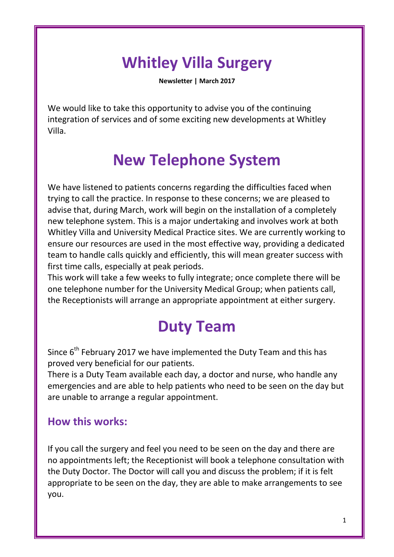# **Whitley Villa Surgery**

**Newsletter | March 2017**

We would like to take this opportunity to advise you of the continuing integration of services and of some exciting new developments at Whitley Villa.

## **New Telephone System**

We have listened to patients concerns regarding the difficulties faced when trying to call the practice. In response to these concerns; we are pleased to advise that, during March, work will begin on the installation of a completely new telephone system. This is a major undertaking and involves work at both Whitley Villa and University Medical Practice sites. We are currently working to ensure our resources are used in the most effective way, providing a dedicated team to handle calls quickly and efficiently, this will mean greater success with first time calls, especially at peak periods.

This work will take a few weeks to fully integrate; once complete there will be one telephone number for the University Medical Group; when patients call, the Receptionists will arrange an appropriate appointment at either surgery.

## **Duty Team**

Since 6<sup>th</sup> February 2017 we have implemented the Duty Team and this has proved very beneficial for our patients.

There is a Duty Team available each day, a doctor and nurse, who handle any emergencies and are able to help patients who need to be seen on the day but are unable to arrange a regular appointment.

#### **How this works:**

If you call the surgery and feel you need to be seen on the day and there are no appointments left; the Receptionist will book a telephone consultation with the Duty Doctor. The Doctor will call you and discuss the problem; if it is felt appropriate to be seen on the day, they are able to make arrangements to see you.